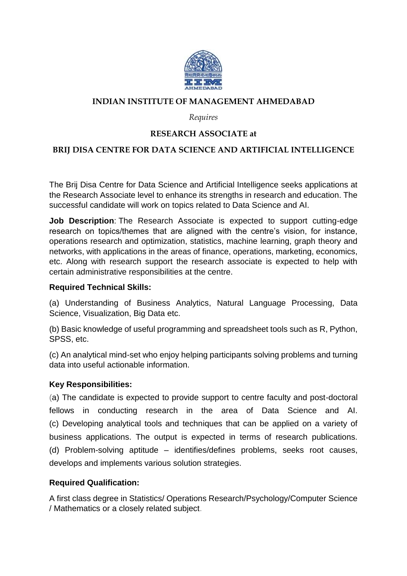

## **INDIAN INSTITUTE OF MANAGEMENT AHMEDABAD**

### *Requires*

# **RESEARCH ASSOCIATE at**

## **BRIJ DISA CENTRE FOR DATA SCIENCE AND ARTIFICIAL INTELLIGENCE**

The Brij Disa Centre for Data Science and Artificial Intelligence seeks applications at the Research Associate level to enhance its strengths in research and education. The successful candidate will work on topics related to Data Science and AI.

**Job Description**: The Research Associate is expected to support cutting-edge research on topics/themes that are aligned with the centre's vision, for instance, operations research and optimization, statistics, machine learning, graph theory and networks, with applications in the areas of finance, operations, marketing, economics, etc. Along with research support the research associate is expected to help with certain administrative responsibilities at the centre.

### **Required Technical Skills:**

(a) Understanding of Business Analytics, Natural Language Processing, Data Science, Visualization, Big Data etc.

(b) Basic knowledge of useful programming and spreadsheet tools such as R, Python, SPSS, etc.

(c) An analytical mind-set who enjoy helping participants solving problems and turning data into useful actionable information.

#### **Key Responsibilities:**

(a) The candidate is expected to provide support to centre faculty and post-doctoral fellows in conducting research in the area of Data Science and AI. (c) Developing analytical tools and techniques that can be applied on a variety of business applications. The output is expected in terms of research publications. (d) Problem-solving aptitude – identifies/defines problems, seeks root causes, develops and implements various solution strategies.

## **Required Qualification:**

A first class degree in Statistics/ Operations Research/Psychology/Computer Science / Mathematics or a closely related subject.